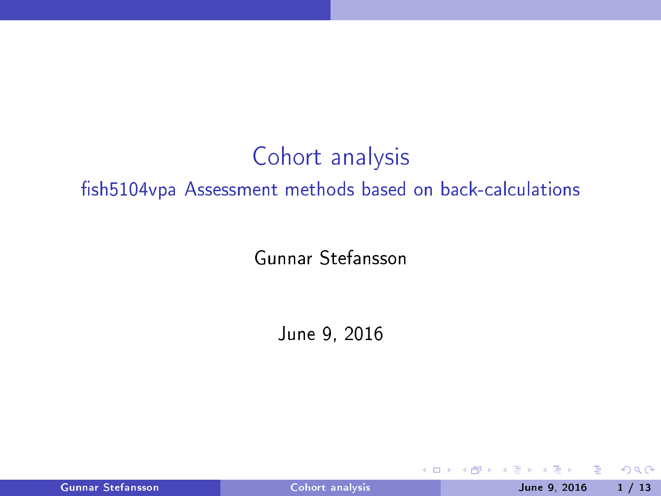# Cohort analysis fish5104vpa Assessment methods based on back-calculations

Gunnar Stefansson

June 9, 2016

4 0 8

Gunnar Stefansson Cohort [analysis](#page-12-0) Cohort analysis June 9, 2016 1 / 13

э

<span id="page-0-0"></span> $299$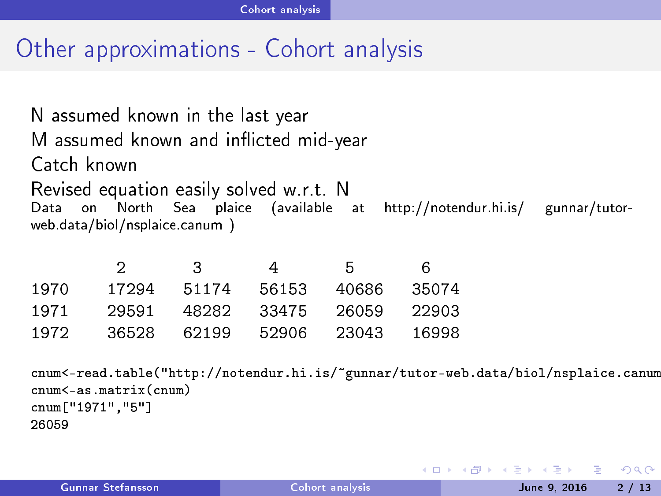#### Other approximations - Cohort analysis

N assumed known in the last year M assumed known and inflicted mid-year Catch known Revised equation easily solved w.r.t. N Data  $at$ Data on North Sea plai
e (available at http://notendur.hi.is/ gunnar/tutorweb.data/biol/nsplaice.canum )

|      |       | З     |       | h     | 6     |
|------|-------|-------|-------|-------|-------|
| 1970 | 17294 | 51174 | 56153 | 40686 | 35074 |
| 1971 | 29591 | 48282 | 33475 | 26059 | 22903 |
| 1972 | 36528 | 62199 | 52906 | 23043 | 16998 |

cnum<-read.table("http://notendur.hi.is/~gunnar/tutor-web.data/biol/nsplaice.canum  $cnum < -as.matrix (cnum)$ num (num) num (num) num (num) num (num) num (num) num (num) num (num) num (num) num (num) num (num) num (num) cnum ["1971", "5"] 26059

<span id="page-1-0"></span> $\Omega$ 

おす者 おす悪人

**∢ ロ ▶ → 伊**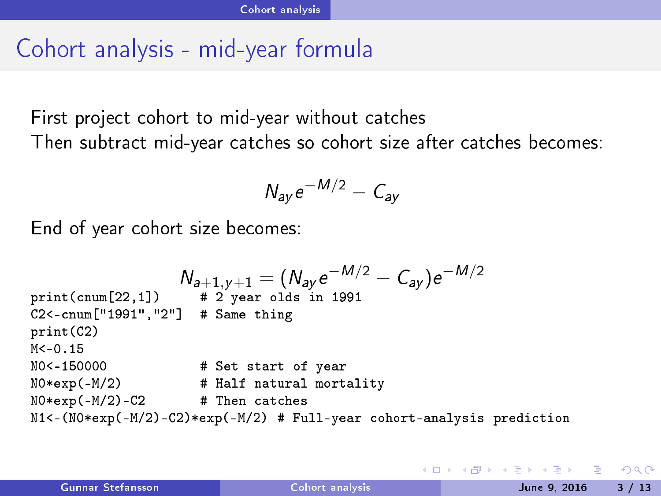# Cohort analysis - mid-year formula

First project cohort to mid-year without catches Then subtract mid-year catches so cohort size after catches becomes:

$$
N_{ay}e^{-M/2}-C_{ay}
$$

End of year ohort size be
omes:

```
N_{a+1,y+1} = (N_{ay}e^{-M/2} - C_{ay})e^{-M/2}# 2 year olds in 1991
print(cnum[22.1])C2 < - cnum \lceil "1991". "2"\rceil # Same thing
C2<-
num["1991","2"℄ # Same thing
print(C2)print (C2) and (C2) and (C2) and (C2) and (C2) and (C2) and (C2) and (C2) and (C2) and (C2) and (C2) and (C2) and (C2) and (C2) and (C2) and (C2) and (C2) and (C2) and (C2) and (C2) and (C2) and (C2) and (C2) and (C2) and 
M < -0.15NO < -150000# Set start of year
N -15000 M -15000 M -15000 M -15000 M -15000 M -15000 \muNO*exp(-M/2)# Half natural mortality
N0*exp(-M/2) # Half natural mortality
NO*exp(-M/2) - C2# Then catches
not a the contract the contract of the contract of the contract of the contract of the contract of the contract of
N1 < - (N0*exp(-M/2) - C2)*exp(-M/2) # Full-year cohort-analysis prediction
```
<span id="page-2-0"></span> $\eta$ an

医阿德氏阿德氏征 医

**∢ ロ ▶ → 伊**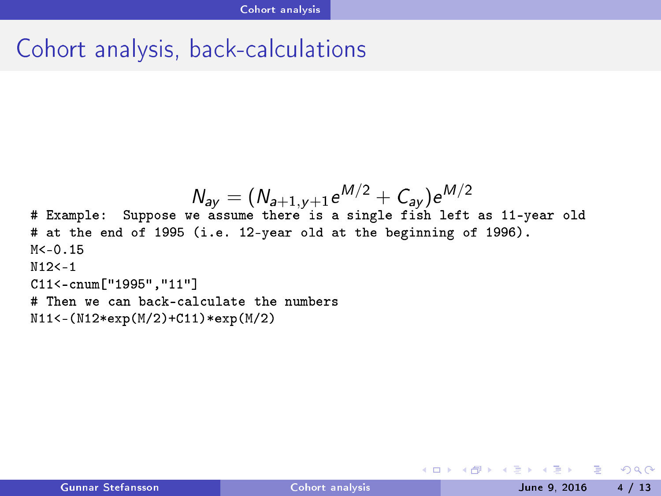# Cohort analysis, back-calculations

```
N_{ay} = (N_{a+1,y+1}e^{M/2} + C_{ay})e^{M/2}# Example: Suppose we assume there is a single fish left as 11-year old
# at the end of 1995 (i.e. 12-year old at the beginning of 1996).
M < -0.15N12< -1C11<-cnum ["1995", "11"]
# Then we can back-calculate the numbers
N11<-(N12*exp(M/2)+C11)*exp(M/2)
```
N1111 = (N12) + C11 + C11 + C11 + C11 + C11 + C11 + C11 + C11 + C11 + C11

**◆ ロ ▶ → イ 冊** 

<span id="page-3-0"></span> $OQ$ 

 $\triangleright$  and  $\exists$   $\triangleright$  and  $\exists$   $\triangleright$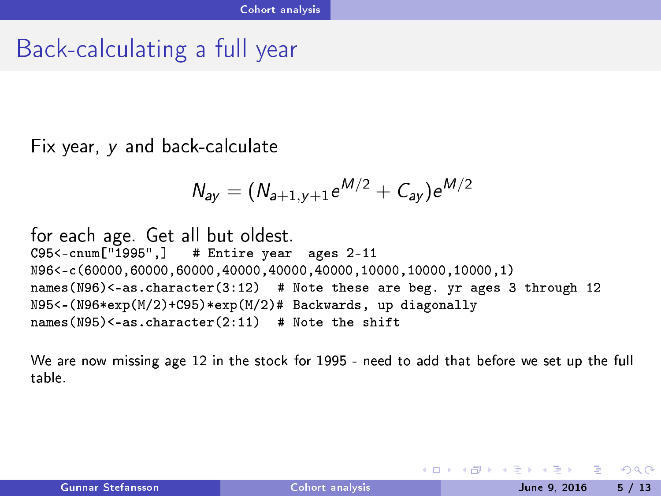# Back-calculating a full year

Fix year, y and back-calculate

$$
N_{ay} = (N_{a+1,y+1}e^{M/2} + C_{ay})e^{M/2}
$$

for each age. Get all but oldest.<br>C95<-cnum["1995",] # Entire year ages 2-11  $\mathcal{L} = \mathcal{L} = \mathcal{L} = \mathcal{L} = \mathcal{L} = \mathcal{L} = \mathcal{L} = \mathcal{L} = \mathcal{L} = \mathcal{L} = \mathcal{L} = \mathcal{L} = \mathcal{L} = \mathcal{L} = \mathcal{L} = \mathcal{L} = \mathcal{L} = \mathcal{L} = \mathcal{L} = \mathcal{L} = \mathcal{L} = \mathcal{L} = \mathcal{L} = \mathcal{L} = \mathcal{L} = \mathcal{L} = \mathcal{L} = \mathcal{L} = \mathcal{L} = \mathcal{L} = \mathcal{L} = \mathcal$ N96<(60000,60000,60000,40000,40000,40000,10000,10000,10000,1) names(N96)<-as.character(3:12) # Note these are beg. yr ages 3 through 12 N95<-(N96\*exp(M/2)+C95)\*exp(M/2)# Backwards, up diagonally names(N95) $\langle -as.character(2:11)$  # Note the shift names(N95)<-as.
hara
ter(2:11) # Note the shift

We are now missing age 12 in the stock for 1995 - need to add that before we set up the full table

<span id="page-4-0"></span> $QQ$ 

 $\triangleright$  and  $\exists$   $\triangleright$  and  $\exists$   $\triangleright$ 

**∢ ロ ▶ → 伊**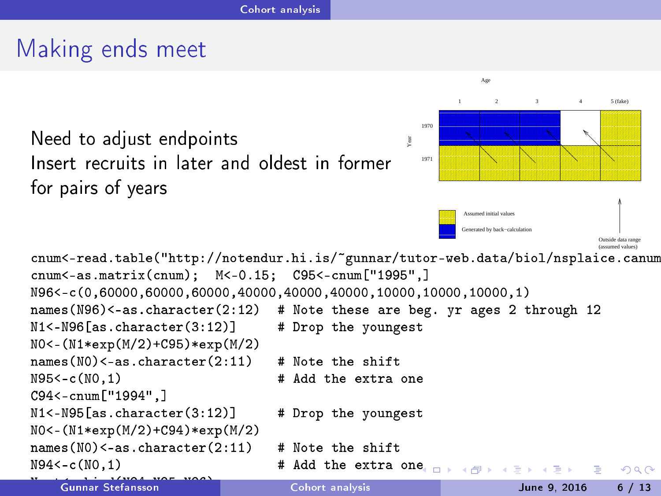## Making ends meet

Need to adjust endpoints Insert recruits in later and oldest in former for pairs of years



```
cnum<-read.table("http://notendur.hi.is/~gunnar/tutor-web.data/biol/nsplaice.canum
num ",head.table("http://notendur.hi.is/"),header-web.data/biol/nsplanet/tutor-web.data/biol/nsplanet/tutor-web
cnum\leq -as.matrix(cnum); M\leq -0.15; C95\leq -cnum["1995",]\blacksquarenum); Mum); Mum); Mum); Mum); Mum); Mum); Mum); Mum); Mum); Mum); Mum); Mum); Mum); Mum); Mum); Mum); Mum); Mum
N96<-c(0.60000.60000.60000.40000.40000.40000.10000.10000.10000.1)
names(N96)<-as.character(2:12) # Note these are beg. yr ages 2 through 12
nn ann an terretoire ann an teangailte ann an teangailte ann an teangailte ann an teangailte ann an teangailte
NO<-(N1*exp(M/2)+C95)*exp(M/2)N0<-(N1*exp(M/2)+C95)*exp(M/2)
names(NO) < -as. character(2:11)
                                        # Note the shift
haram terms (NO) and the shift of the shift of the shift of the shift of the shift of the shift of the shift of
N95 < -c(N0.1)# Add the extra one
C94<-cnum ["1994", ]
\sim \sim \sim \sim \sim \simN1 <-N95[as.character(3:12)] # Drop the youngest
N0<-(N1*exp(M/2)+C94)*exp(M/2)
names(NO) < -as. character(2:11)
                                           Note the shift
haram terms (NO) and the shift of the shift of the shift of the shift of the shift of the shift of the shift of
N94<-\mathrm{c}(N0,1)e extra one
                                                                                             э
                                                                                                 QQQGunnar Stefansson
```
Gunnar Stefansson Cohort [analysis](#page-0-0) June 9, <sup>2016</sup> <sup>6</sup> / <sup>13</sup>

<span id="page-5-0"></span>Year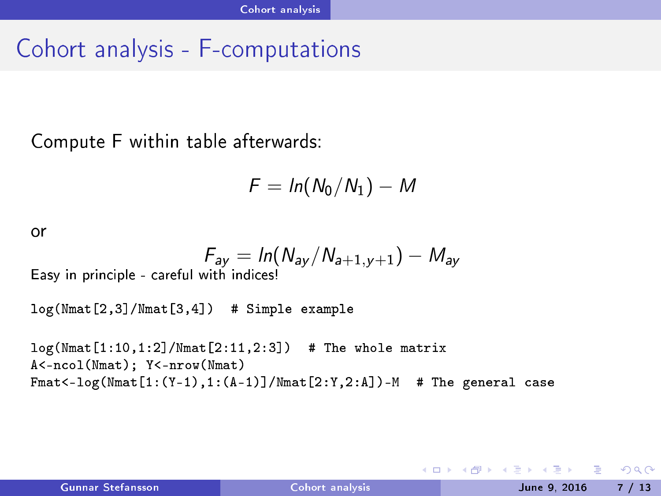#### Cohort analysis - Fomputations

Computer F with the computer F within table afterwards: the computer field of within the computer field of within the computer field of within the computer field of within the computer field of within the computation of wi

$$
F = \ln(N_0/N_1) - M
$$

 $\alpha$ 

$$
F_{ay} = \ln(N_{ay}/N_{a+1,y+1}) - M_{ay}
$$

Easy in principle - careful with indices!

 $log(Nmat[2,3]/Nmat[3,4])$  # Simple example

 $log(Nmat[1:10,1:2]/Nmat[2:11,2:3])$  # The whole matrix A<-ncol(Nmat): Y<-nrow(Nmat) Fmat<-log(Nmat[1:(Y-1),1:(A-1)]/Nmat[2:Y,2:A])-M # The general case

<span id="page-6-0"></span>K ロ ▶ K 個 ▶ K 글 ▶ K 글 ▶ 「글 」 K) Q Q @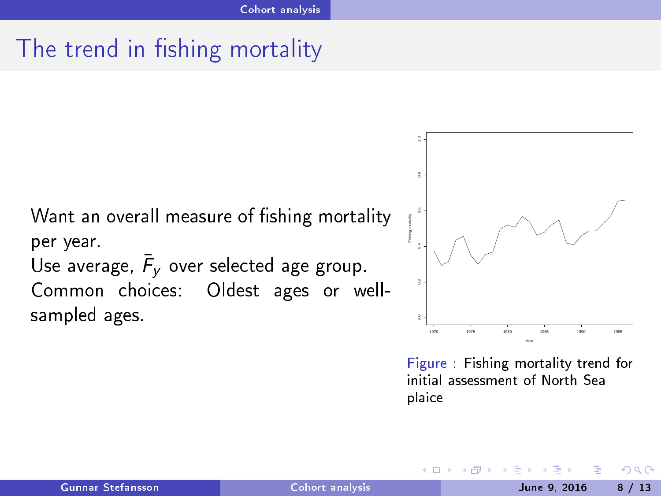# The trend in fishing mortality

Want an overall measure of fishing mortality per year. Use average,  $\bar{F}_V$  over selected age group. Common choices: Oldest ages or wellsampled ages.



Figure : Fishing mortality trend for initial assessment of North Sea plai
e

4 0 1

<span id="page-7-0"></span> $QQ$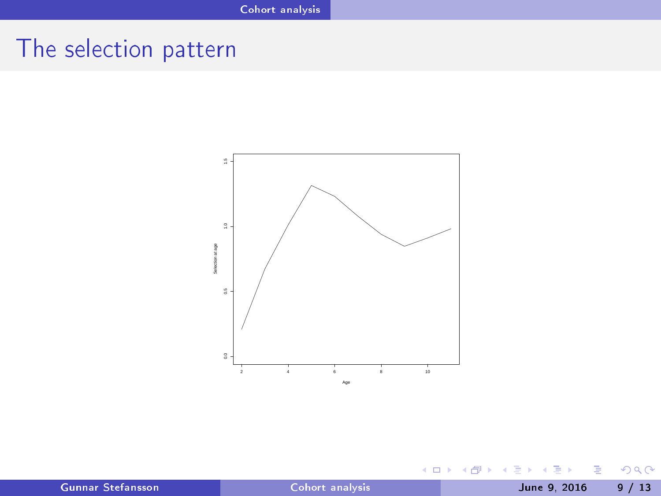# The selection pattern



(ロ) (日)

 $\mathbf{p}_i$ ×. ∍ **D** ×

× Gunnar Stefansson Cohort [analysis](#page-0-0) Cohort analysis June 9, 2016 9 / 13

Þ

È

<span id="page-8-0"></span> $298$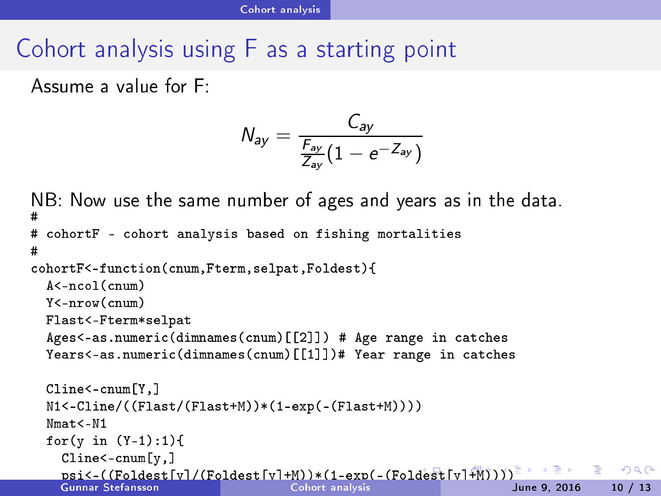# Cohort analysis using <sup>F</sup> as <sup>a</sup> starting point

Assume a value for F:

<span id="page-9-0"></span>
$$
N_{ay} = \frac{C_{ay}}{\frac{F_{ay}}{Z_{ay}}(1 - e^{-Z_{ay}})}
$$

```
NB: Now use the same number of ages and years as in the data.
н.
ohort analysis based on fishing mortalities based on fishing more analysis based on fishing more analysis based on fishing more analysis based on fishing more analysis based on fishing more analysis based on fishing more a
#cohortF<-function(cnum, Fterm, selpat, Foldest){
tion,Foldest,Foldest,Foldest,Foldest,Foldest,Foldest,Foldest,Foldest,Foldest,Foldest,Foldest,Foldest,Foldest,
    A \leq -n \nco1(\ncnum)Y < - nrow (cnum)
    You have a set of the set of the set of the set of the set of the set of the set of the set of the set of the
    Flast selection of the selection of the selection of the selection of the selection of the selection of the selection of the selection of the selection of the selection of the selection of the selection of the selection of
    Ages<-as.numeric(dimnames(cnum)[[2]]) # Age range in catches
    Years<-as.numeric(dimnames(cnum)[[1]])# Year range in catches
   Cline<-cnum[Y.]
    Cline<-
num[Y,℄
    N1<-Cline/((Flast/(Flast+M))*(1-exp(-(Flast+M))))
    Nmat &lt - N1for(y in (Y-1):1){
       Cline < -cnum[v,]psi<-((Foldest[y℄/(Foldest[y℄+M))*(1-exp(-(Foldest[y℄+M))))
                                                                                                                                                   QQ
```
Gunnar Stefansson Cohort [analysis](#page-0-0) June 9, <sup>2016</sup> <sup>10</sup> / <sup>13</sup>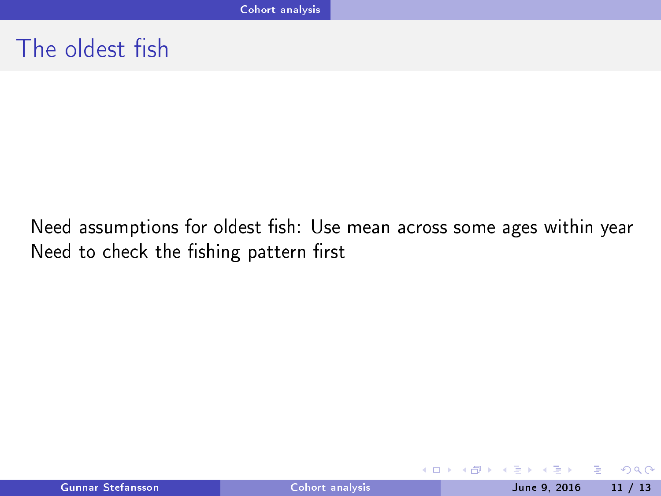# The oldest fish

Need assumptions for oldest fish: Use mean across some ages within year Need to check the fishing pattern first

4. 0. 6.

э

<span id="page-10-0"></span> $QQQ$ 

 $\blacktriangleright$   $\blacktriangleright$  4  $\equiv$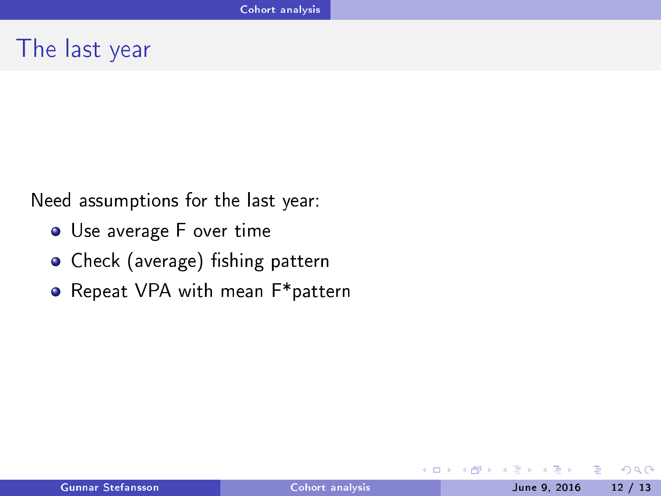#### The last year

Need assumptions for the last year:

- Use average F over time
- Check (average) fishing pattern
- Repeat VPA with mean F\*pattern

4 0 8

э

<span id="page-11-0"></span> $QQ$